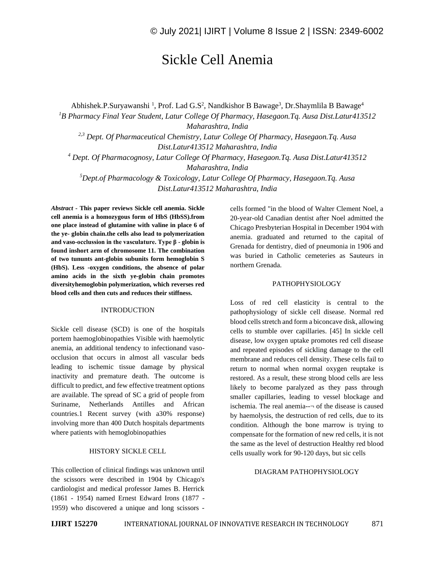# Sickle Cell Anemia

Abhishek.P.Suryawanshi<sup>1</sup>, Prof. Lad G.S<sup>2</sup>, Nandkishor B Bawage<sup>3</sup>, Dr.Shaymlila B Bawage<sup>4</sup> *<sup>1</sup>B Pharmacy Final Year Student, Latur College Of Pharmacy, Hasegaon.Tq. Ausa Dist.Latur413512 Maharashtra, India 2,3 Dept. Of Pharmaceutical Chemistry, Latur College Of Pharmacy, Hasegaon.Tq. Ausa Dist.Latur413512 Maharashtra, India <sup>4</sup> Dept. Of Pharmacognosy, Latur College Of Pharmacy, Hasegaon.Tq. Ausa Dist.Latur413512 Maharashtra, India <sup>5</sup>Dept.of Pharmacology & Toxicology, Latur College Of Pharmacy, Hasegaon.Tq. Ausa Dist.Latur413512 Maharashtra, India*

*Abstract -* **This paper reviews Sickle cell anemia. Sickle cell anemia is a homozygous form of HbS (HbSS).from one place instead of glutamine with valine in place 6 of the ye- globin chain.the cells also lead to polymerization and vaso-occlussion in the vasculature. Type β - globin is found inshort arm of chromosome 11. The combination of two tununts ant-globin subunits form hemoglobin S (HbS). Less -oxygen conditions, the absence of polar amino acids in the sixth ye-globin chain promotes diversityhemoglobin polymerization, which reverses red blood cells and then cuts and reduces their stiffness.**

# INTRODUCTION

Sickle cell disease (SCD) is one of the hospitals portem haemoglobinopathies Visible with haemolytic anemia, an additional tendency to infectionand vasoocclusion that occurs in almost all vascular beds leading to ischemic tissue damage by physical inactivity and premature death. The outcome is difficult to predict, and few effective treatment options are available. The spread of SC a grid of people from Suriname, Netherlands Antilles and African countries.1 Recent survey (with a30% response) involving more than 400 Dutch hospitals departments where patients with hemoglobinopathies

### HISTORY SICKLE CELL

This collection of clinical findings was unknown until the scissors were described in 1904 by Chicago's cardiologist and medical professor James B. Herrick (1861 - 1954) named Ernest Edward Irons (1877 - 1959) who discovered a unique and long scissors -

cells formed "in the blood of Walter Clement Noel, a 20-year-old Canadian dentist after Noel admitted the Chicago Presbyterian Hospital in December 1904 with anemia. graduated and returned to the capital of Grenada for dentistry, died of pneumonia in 1906 and was buried in Catholic cemeteries as Sauteurs in northern Grenada.

#### PATHOPHYSIOLOGY

Loss of red cell elasticity is central to the pathophysiology of sickle cell disease. Normal red blood cells stretch and form a biconcave disk, allowing cells to stumble over capillaries. [45] In sickle cell disease, low oxygen uptake promotes red cell disease and repeated episodes of sickling damage to the cell membrane and reduces cell density. These cells fail to return to normal when normal oxygen reuptake is restored. As a result, these strong blood cells are less likely to become paralyzed as they pass through smaller capillaries, leading to vessel blockage and ischemia. The real anemia--¬ of the disease is caused by haemolysis, the destruction of red cells, due to its condition. Although the bone marrow is trying to compensate for the formation of new red cells, it is not the same as the level of destruction Healthy red blood cells usually work for 90-120 days, but sic cells

#### DIAGRAM PATHOPHYSIOLOGY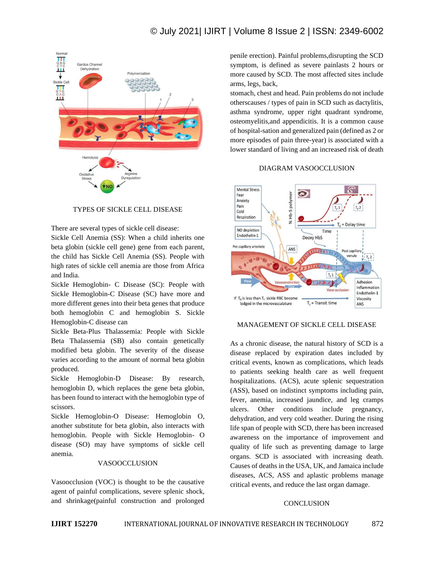# © July 2021| IJIRT | Volume 8 Issue 2 | ISSN: 2349-6002



# TYPES OF SICKLE CELL DISEASE

There are several types of sickle cell disease:

Sickle Cell Anemia (SS): When a child inherits one beta globin (sickle cell gene) gene from each parent, the child has Sickle Cell Anemia (SS). People with high rates of sickle cell anemia are those from Africa and India.

Sickle Hemoglobin- C Disease (SC): People with Sickle Hemoglobin-C Disease (SC) have more and more different genes into their beta genes that produce both hemoglobin C and hemoglobin S. Sickle Hemoglobin-C disease can

Sickle Beta-Plus Thalassemia: People with Sickle Beta Thalassemia (SB) also contain genetically modified beta globin. The severity of the disease varies according to the amount of normal beta globin produced.

Sickle Hemoglobin-D Disease: By research, hemoglobin D, which replaces the gene beta globin, has been found to interact with the hemoglobin type of scissors.

Sickle Hemoglobin-O Disease: Hemoglobin O, another substitute for beta globin, also interacts with hemoglobin. People with Sickle Hemoglobin- O disease (SO) may have symptoms of sickle cell anemia.

#### VASOOCCLUSION

Vasoocclusion (VOC) is thought to be the causative agent of painful complications, severe splenic shock, and shrinkage(painful construction and prolonged penile erection). Painful problems,disrupting the SCD symptom, is defined as severe painlasts 2 hours or more caused by SCD. The most affected sites include arms, legs, back,

stomach, chest and head. Pain problems do not include otherscauses / types of pain in SCD such as dactylitis, asthma syndrome, upper right quadrant syndrome, osteomyelitis,and appendicitis. It is a common cause of hospital-sation and generalized pain (defined as 2 or more episodes of pain three-year) is associated with a lower standard of living and an increased risk of death

# DIAGRAM VASOOCCLUSION



# MANAGEMENT OF SICKLE CELL DISEASE

As a chronic disease, the natural history of SCD is a disease replaced by expiration dates included by critical events, known as complications, which leads to patients seeking health care as well frequent hospitalizations. (ACS), acute splenic sequestration (ASS), based on indistinct symptoms including pain, fever, anemia, increased jaundice, and leg cramps ulcers. Other conditions include pregnancy, dehydration, and very cold weather. During the rising life span of people with SCD, there has been increased awareness on the importance of improvement and quality of life such as preventing damage to large organs. SCD is associated with increasing death. Causes of deaths in the USA, UK, and Jamaica include diseases, ACS, ASS and aplastic problems manage critical events, and reduce the last organ damage.

### **CONCLUSION**